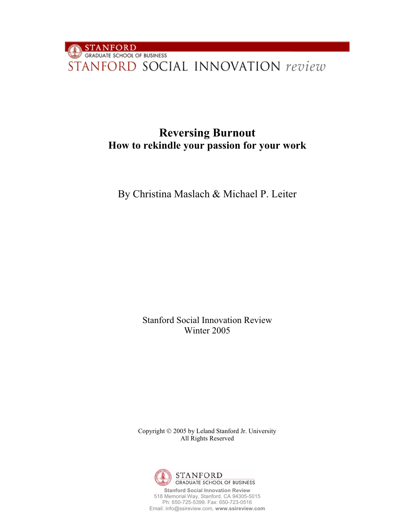**STANFORD**<br>GRADUATE SCHOOL OF BUSINESS STANFORD SOCIAL INNOVATION review

## **Reversing Burnout How to rekindle your passion for your work**

By Christina Maslach & Michael P. Leiter

Stanford Social Innovation Review Winter 2005

Copyright  $©$  2005 by Leland Stanford Jr. University All Rights Reserved



Ph: 650-725-5399. Fax: 650-723-0516 Email: info@ssireview.com, **www.ssireview.com**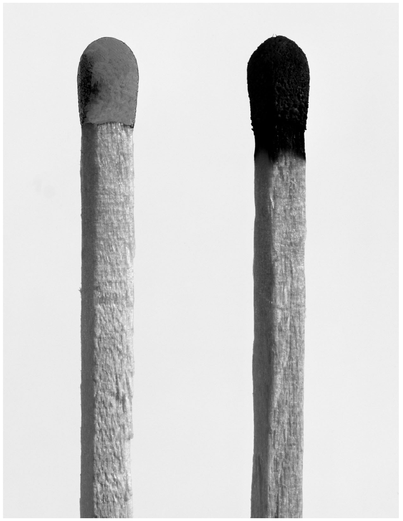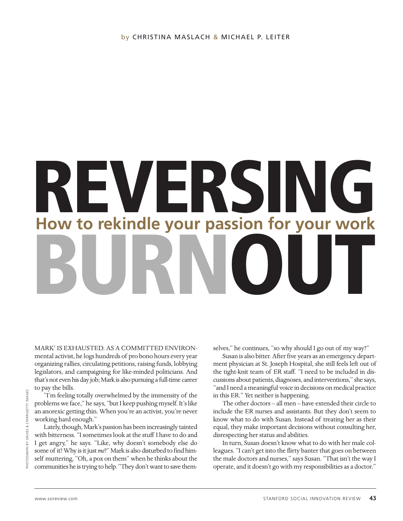# **REVERSING BURNOUT How to rekindle your passion for your work**

MARK<sup>1</sup> IS EXHAUSTED. AS A COMMITTED ENVIRONmental activist, he logs hundreds of pro bono hours every year organizing rallies, circulating petitions, raising funds, lobbying legislators, and campaigning for like-minded politicians. And that's not even his day job; Mark is also pursuing a full-time career to pay the bills.

"I'm feeling totally overwhelmed by the immensity of the problems we face," he says, "but I keep pushing myself. It's like an anorexic getting thin. When you're an activist, you're never working hard enough."

Lately, though, Mark's passion has been increasingly tainted with bitterness. "I sometimes look at the stuff I have to do and I get angry," he says. "Like, why doesn't somebody else do some of it? Why is it just *me*?" Mark is also disturbed to find himself muttering, "Oh, a pox on them" when he thinks about the communities he is trying to help. "They don't want to save themselves," he continues, "so why should I go out of my way?"

Susan is also bitter. After five years as an emergency department physician at St. Joseph Hospital, she still feels left out of the tight-knit team of ER staff. "I need to be included in discussions about patients, diagnoses, and interventions," she says, "and I need a meaningful voice in decisions on medical practice in this ER." Yet neither is happening.

The other doctors – all men – have extended their circle to include the ER nurses and assistants. But they don't seem to know what to do with Susan. Instead of treating her as their equal, they make important decisions without consulting her, disrespecting her status and abilities.

In turn, Susan doesn't know what to do with her male colleagues. "I can't get into the flirty banter that goes on between the male doctors and nurses," says Susan. "That isn't the way I operate, and it doesn't go with my responsibilities as a doctor."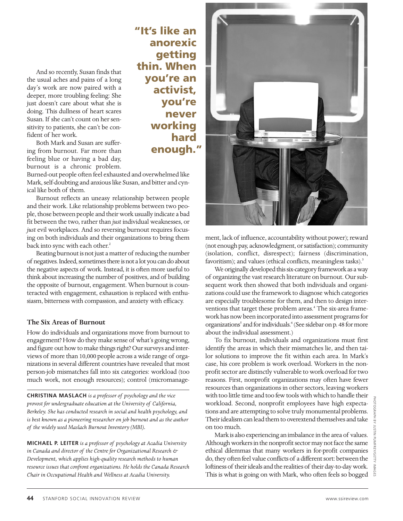And so recently, Susan finds that the usual aches and pains of a long day's work are now paired with a deeper, more troubling feeling: She just doesn't care about what she is doing. This dullness of heart scares Susan. If she can't count on her sensitivity to patients, she can't be confident of her work.

Both Mark and Susan are suffering from burnout. Far more than feeling blue or having a bad day, burnout is a chronic problem.

Burned-out people often feel exhausted and overwhelmed like Mark, self-doubting and anxious like Susan, and bitter and cynical like both of them.

Burnout reflects an uneasy relationship between people and their work. Like relationship problems between two people, those between people and their work usually indicate a bad fit between the two, rather than *just* individual weaknesses, or *just* evil workplaces. And so reversing burnout requires focusing on both individuals and their organizations to bring them back into sync with each other.<sup>2</sup>

Beating burnout is not just a matter of reducing the number of negatives. Indeed, sometimes there is not a lot you can do about the negative aspects of work. Instead, it is often more useful to think about increasing the number of positives, and of building the opposite of burnout, engagement. When burnout is counteracted with engagement, exhaustion is replaced with enthusiasm, bitterness with compassion, and anxiety with efficacy.

#### **The Six Areas of Burnout**

How do individuals and organizations move from burnout to engagement? How do they make sense of what's going wrong, and figure out how to make things right? Our surveys and interviews of more than 10,000 people across a wide range of organizations in several different countries have revealed that most person-job mismatches fall into six categories: workload (too much work, not enough resources); control (micromanage-

**CHRISTINA MASLACH** *is a professor of psychology and the vice provost for undergraduate education at the University of California, Berkeley. She has conducted research in social and health psychology, and is best known as a pioneering researcher on job burnout and as the author of the widely used Maslach Burnout Inventory (MBI).*

**MICHAEL P. LEITER** *is a professor of psychology at Acadia University in Canada and director of the Centre for Organizational Research & Development, which applies high-quality research methods to human resource issues that confront organizations. He holds the Canada Research Chair in Occupational Health and Wellness at Acadia University.*

**"It's like an anorexic getting thin. When you're an activist, you're never working hard enough."** 



ment, lack of influence, accountability without power); reward (not enough pay, acknowledgment, or satisfaction); community (isolation, conflict, disrespect); fairness (discrimination, favoritism); and values (ethical conflicts, meaningless tasks).<sup>3</sup>

We originally developed this six-category framework as a way of organizing the vast research literature on burnout. Our subsequent work then showed that both individuals and organizations could use the framework to diagnose which categories are especially troublesome for them, and then to design interventions that target these problem areas.<sup>4</sup> The six-area framework has now been incorporated into assessment programs for organizations<sup>5</sup> and for individuals.<sup>6</sup> (See sidebar on p. 48 for more about the individual assessment.)

To fix burnout, individuals and organizations must first identify the areas in which their mismatches lie, and then tailor solutions to improve the fit within each area. In Mark's case, his core problem is work overload. Workers in the nonprofit sector are distinctly vulnerable to work overload for two reasons. First, nonprofit organizations may often have fewer resources than organizations in other sectors, leaving workers with too little time and too few tools with which to handle their workload. Second, nonprofit employees have high expectations and are attempting to solve truly monumental problems. Their idealism can lead them to overextend themselves and take on too much.

Mark is also experiencing an imbalance in the area of values. Although workers in the nonprofit sector may not face the same ethical dilemmas that many workers in for-profit companies do, they often feel value conflicts of a different sort: between the loftiness of their ideals and the realities of their day-to-day work. This is what is going on with Mark, who often feels so bogged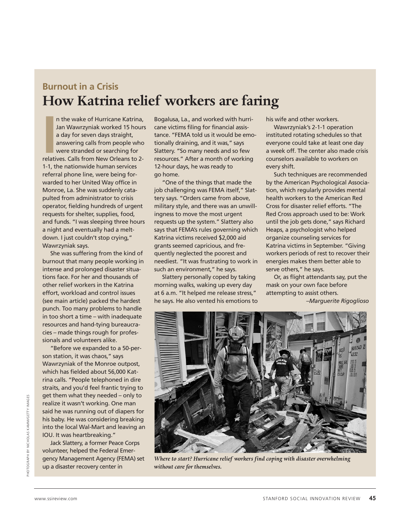## **Burnout in a Crisis How Katrina relief workers are faring**

In the wake of Hurricane Katrina,<br>Jan Wawrzyniak worked 15 hour<br>a day for seven days straight,<br>answering calls from people who<br>were stranded or searching for<br>relatives. Calls from New Orleans to 2n the wake of Hurricane Katrina, Jan Wawrzyniak worked 15 hours a day for seven days straight, answering calls from people who were stranded or searching for 1-1, the nationwide human services referral phone line, were being forwarded to her United Way office in Monroe, La. She was suddenly catapulted from administrator to crisis operator, fielding hundreds of urgent requests for shelter, supplies, food, and funds. "I was sleeping three hours a night and eventually had a meltdown. I just couldn't stop crying," Wawrzyniak says.

She was suffering from the kind of burnout that many people working in intense and prolonged disaster situations face. For her and thousands of other relief workers in the Katrina effort, workload and control issues (see main article) packed the hardest punch. Too many problems to handle in too short a time – with inadequate resources and hand-tying bureaucracies – made things rough for professionals and volunteers alike.

"Before we expanded to a 50-person station, it was chaos," says Wawrzyniak of the Monroe outpost, which has fielded about 56,000 Katrina calls. "People telephoned in dire straits, and you'd feel frantic trying to get them what they needed – only to realize it wasn't working. One man said he was running out of diapers for his baby. He was considering breaking into the local Wal-Mart and leaving an IOU. It was heartbreaking."

Jack Slattery, a former Peace Corps volunteer, helped the Federal Emergency Management Agency (FEMA) set up a disaster recovery center in

Bogalusa, La., and worked with hurricane victims filing for financial assistance. "FEMA told us it would be emotionally draining, and it was," says Slattery. "So many needs and so few resources." After a month of working 12-hour days, he was ready to go home.

"One of the things that made the job challenging was FEMA itself," Slattery says. "Orders came from above, military style, and there was an unwillingness to move the most urgent requests up the system." Slattery also says that FEMA's rules governing which Katrina victims received \$2,000 aid grants seemed capricious, and frequently neglected the poorest and neediest. "It was frustrating to work in such an environment," he says.

Slattery personally coped by taking morning walks, waking up every day at 6 a.m. "It helped me release stress," he says. He also vented his emotions to his wife and other workers.

Wawrzyniak's 2-1-1 operation instituted rotating schedules so that everyone could take at least one day a week off. The center also made crisis counselors available to workers on every shift.

Such techniques are recommended by the American Psychological Association, which regularly provides mental health workers to the American Red Cross for disaster relief efforts. "The Red Cross approach used to be: Work until the job gets done," says Richard Heaps, a psychologist who helped organize counseling services for Katrina victims in September. "Giving workers periods of rest to recover their energies makes them better able to serve others," he says.

Or, as flight attendants say, put the mask on your own face before attempting to assist others.

–*Marguerite Rigoglioso*



*Where to start? Hurricane relief workers find coping with disaster overwhelming without care for themselves.*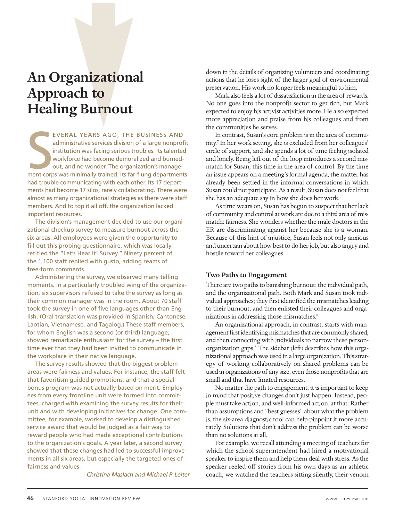# **An Organizational Approach to Healing Burnout**

EVERAL YEARS AGO, THE BUSINESS AND<br>administrative services division of a large nonprofit<br>institution was facing serious troubles. Its talented<br>workforce had become demoralized and burned-<br>out, and no wonder. The organizati EVERAL YEARS AGO, THE BUSINESS AND administrative services division of a large nonprofit institution was facing serious troubles. Its talented workforce had become demoralized and burnedout, and no wonder. The organization's managehad trouble communicating with each other. Its 17 departments had become 17 silos, rarely collaborating. There were almost as many organizational strategies as there were staff members. And to top it all off, the organization lacked important resources.

The division's management decided to use our organizational checkup survey to measure burnout across the six areas. All employees were given the opportunity to fill out this probing questionnaire, which was locally retitled the "Let's Hear It! Survey." Ninety percent of the 1,100 staff replied with gusto, adding reams of free-form comments.

Administering the survey, we observed many telling moments. In a particularly troubled wing of the organization, six supervisors refused to take the survey as long as their common manager was in the room. About 70 staff took the survey in one of five languages other than English. (Oral translation was provided in Spanish, Cantonese, Laotian, Vietnamese, and Tagalog.) These staff members, for whom English was a second (or third) language, showed remarkable enthusiasm for the survey – the first time ever that they had been invited to communicate in the workplace in their native language.

The survey results showed that the biggest problem areas were fairness and values. For instance, the staff felt that favoritism guided promotions, and that a special bonus program was not actually based on merit. Employees from every frontline unit were formed into committees, charged with examining the survey results for their unit and with developing initiatives for change. One committee, for example, worked to develop a distinguished service award that would be judged as a fair way to reward people who had made exceptional contributions to the organization's goals. A year later, a second survey showed that these changes had led to successful improvements in all six areas, but especially the targeted ones of fairness and values.

*–Christina Maslach and Michael P. Leiter*

down in the details of organizing volunteers and coordinating actions that he loses sight of the larger goal of environmental preservation. His work no longer feels meaningful to him.

Mark also feels a lot of dissatisfaction in the area of rewards. No one goes into the nonprofit sector to get rich, but Mark expected to enjoy his activist activities more. He also expected more appreciation and praise from his colleagues and from the communities he serves.

In contrast, Susan's core problem is in the area of community.7 In her work setting, she is excluded from her colleagues' circle of support, and she spends a lot of time feeling isolated and lonely. Being left out of the loop introduces a second mismatch for Susan, this time in the area of control. By the time an issue appears on a meeting's formal agenda, the matter has already been settled in the informal conversations in which Susan could not participate. As a result, Susan does not feel that she has an adequate say in how she does her work.

As time wears on, Susan has begun to suspect that her lack of community and control at work are due to a third area of mismatch: fairness. She wonders whether the male doctors in the ER are discriminating against her because she is a woman. Because of this hint of injustice, Susan feels not only anxious and uncertain about how best to do her job, but also angry and hostile toward her colleagues.

#### **Two Paths to Engagement**

There are two paths to banishing burnout: the individual path, and the organizational path. Both Mark and Susan took individual approaches; they first identified the mismatches leading to their burnout, and then enlisted their colleagues and organizations in addressing those mismatches.<sup>8</sup>

An organizational approach, in contrast, starts with management first identifying mismatches that are commonly shared, and then connecting with individuals to narrow these personorganization gaps.9 The sidebar (left) describes how this organizational approach was used in a large organization. This strategy of working collaboratively on shared problems can be used in organizations of any size, even those nonprofits that are small and that have limited resources.

No matter the path to engagement, it is important to keep in mind that positive changes don't just happen. Instead, people must take action, and well-informed action, at that. Rather than assumptions and "best guesses" about what the problem is, the six-area diagnostic tool can help pinpoint it more accurately. Solutions that don't address the problem can be worse than no solutions at all.

For example, we recall attending a meeting of teachers for which the school superintendent had hired a motivational speaker to inspire them and help them deal with stress. As the speaker reeled off stories from his own days as an athletic coach, we watched the teachers sitting silently, their venom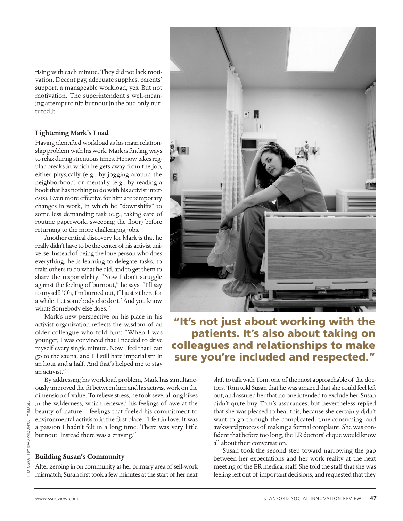rising with each minute. They did not lack motivation. Decent pay, adequate supplies, parents' support, a manageable workload, yes. But not motivation. The superintendent's well-meaning attempt to nip burnout in the bud only nurtured it.

#### **Lightening Mark's Load**

Having identified workload as his main relationship problem with his work, Mark is finding ways to relax during strenuous times. He now takes regular breaks in which he gets away from the job, either physically (e.g., by jogging around the neighborhood) or mentally (e.g., by reading a book that has nothing to do with his activist interests). Even more effective for him are temporary changes in work, in which he "downshifts" to some less demanding task (e.g., taking care of routine paperwork, sweeping the floor) before returning to the more challenging jobs.

Another critical discovery for Mark is that he really didn't have to be the center of his activist universe. Instead of being the lone person who does everything, he is learning to delegate tasks, to train others to do what he did, and to get them to share the responsibility. "Now I don't struggle against the feeling of burnout," he says. "I'll say to myself: 'Oh, I'm burned out, I'll just sit here for a while. Let somebody else do it.' And you know what? Somebody else does."

Mark's new perspective on his place in his activist organization reflects the wisdom of an older colleague who told him: "When I was younger, I was convinced that I needed to drive myself every single minute. Now I feel that I can go to the sauna, and I'll still hate imperialism in an hour and a half. And that's helped me to stay an activist."

By addressing his workload problem, Mark has simultaneously improved the fit between him and his activist work on the dimension of value. To relieve stress, he took several long hikes in the wilderness, which renewed his feelings of awe at the beauty of nature – feelings that fueled his commitment to environmental activism in the first place. "I felt in love. It was a passion I hadn't felt in a long time. There was very little burnout. Instead there was a craving."

#### **Building Susan's Community**

After zeroing in on community as her primary area of self-work mismatch, Susan first took a few minutes at the start of her next



### **"It's not just about working with the patients. It's also about taking on colleagues and relationships to make sure you're included and respected."**

shift to talk with Tom, one of the most approachable of the doctors. Tom told Susan that he was amazed that she could feel left out, and assured her that no one intended to exclude her. Susan didn't quite buy Tom's assurances, but nevertheless replied that she was pleased to hear this, because she certainly didn't want to go through the complicated, time-consuming, and awkward process of making a formal complaint. She was confident that before too long, the ER doctors' clique would know all about their conversation.

Susan took the second step toward narrowing the gap between her expectations and her work reality at the next meeting of the ER medical staff. She told the staff that she was feeling left out of important decisions, and requested that they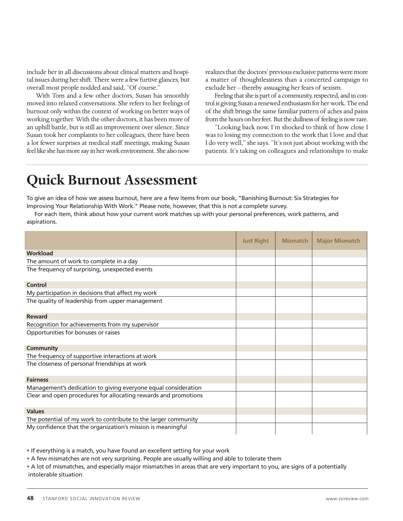include her in all discussions about clinical matters and hospital issues during her shift. There were a few furtive glances, but overall most people nodded and said, "Of course."

With Tom and a few other doctors, Susan has smoothly moved into relaxed conversations. She refers to her feelings of burnout only within the context of working on better ways of working together. With the other doctors, it has been more of an uphill battle, but is still an improvement over silence. Since Susan took her complaints to her colleagues, there have been a lot fewer surprises at medical staff meetings, making Susan feel like she has more say in her work environment. She also now

realizes that the doctors' previous exclusive patterns were more a matter of thoughtlessness than a concerted campaign to exclude her – thereby assuaging her fears of sexism.

Feeling that she is part of a community, respected, and in control is giving Susan a renewed enthusiasm for her work. The end of the shift brings the same familiar pattern of aches and pains from the hours on her feet. But the dullness of feeling is now rare.

"Looking back now, I'm shocked to think of how close I was to losing my connection to the work that I love and that I do very well," she says. "It's not just about working with the patients. It's taking on colleagues and relationships to make

# **Quick Burnout Assessment**

To give an idea of how we assess burnout, here are a few items from our book, "Banishing Burnout: Six Strategies for Improving Your Relationship With Work." Please note, however, that this is not a complete survey.

For each item, think about how your current work matches up with your personal preferences, work patterns, and aspirations.

|                                                                 | <b>Just Right</b> | <b>Mismatch</b> | <b>Major Mismatch</b> |
|-----------------------------------------------------------------|-------------------|-----------------|-----------------------|
| <b>Workload</b>                                                 |                   |                 |                       |
| The amount of work to complete in a day                         |                   |                 |                       |
| The frequency of surprising, unexpected events                  |                   |                 |                       |
| Control                                                         |                   |                 |                       |
| My participation in decisions that affect my work               |                   |                 |                       |
| The quality of leadership from upper management                 |                   |                 |                       |
| <b>Reward</b>                                                   |                   |                 |                       |
| Recognition for achievements from my supervisor                 |                   |                 |                       |
| Opportunities for bonuses or raises                             |                   |                 |                       |
| <b>Community</b>                                                |                   |                 |                       |
| The frequency of supportive interactions at work                |                   |                 |                       |
| The closeness of personal friendships at work                   |                   |                 |                       |
| <b>Fairness</b>                                                 |                   |                 |                       |
| Management's dedication to giving everyone equal consideration  |                   |                 |                       |
| Clear and open procedures for allocating rewards and promotions |                   |                 |                       |
| <b>Values</b>                                                   |                   |                 |                       |
| The potential of my work to contribute to the larger community  |                   |                 |                       |
| My confidence that the organization's mission is meaningful     |                   |                 |                       |

• If everything is a match, you have found an excellent setting for your work

• A few mismatches are not very surprising. People are usually willing and able to tolerate them

• A lot of mismatches, and especially major mismatches in areas that are very important to you, are signs of a potentially intolerable situation